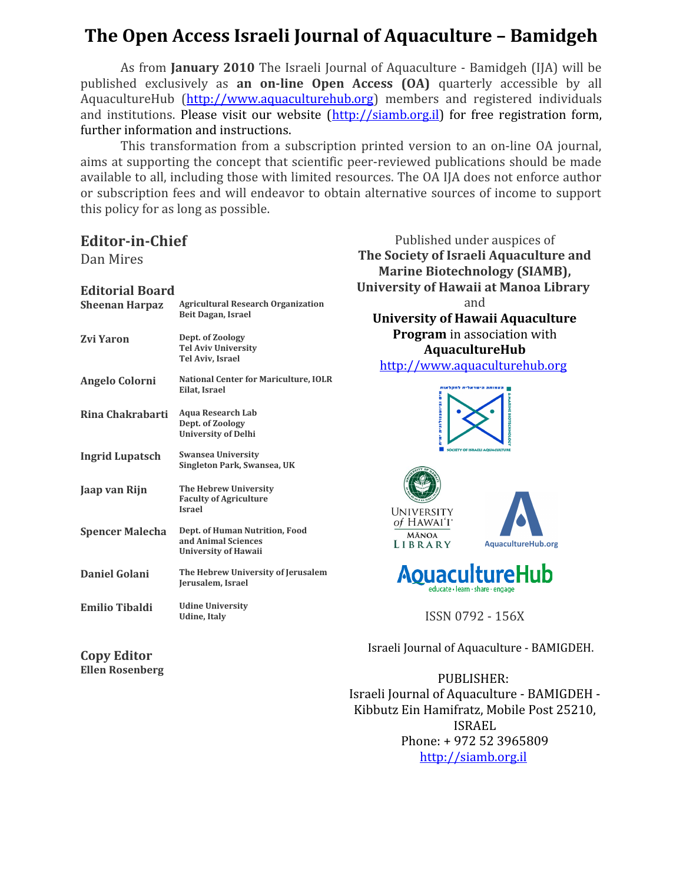# **The Open Access Israeli Journal of Aquaculture – Bamidgeh**

As from **January 2010** The Israeli Journal of Aquaculture - Bamidgeh (IJA) will be published exclusively as **an on-line Open Access (OA)** quarterly accessible by all AquacultureHub [\(http://www.aquaculturehub.org\)](http://www.aquaculturehub.org/) members and registered individuals and institutions. Please visit our website [\(http://siamb.org.il\)](http://siamb.org.il/) for free registration form, further information and instructions.

This transformation from a subscription printed version to an on-line OA journal, aims at supporting the concept that scientific peer-reviewed publications should be made available to all, including those with limited resources. The OA IJA does not enforce author or subscription fees and will endeavor to obtain alternative sources of income to support this policy for as long as possible.

## **Editor-in-Chief**

Dan Mires

### **Editorial Board**

| <b>Sheenan Harpaz</b>  | <b>Agricultural Research Organization</b><br>Beit Dagan, Israel                      |  |
|------------------------|--------------------------------------------------------------------------------------|--|
| Zvi Yaron              | Dept. of Zoology<br><b>Tel Aviv University</b><br><b>Tel Aviv. Israel</b>            |  |
| Angelo Colorni         | <b>National Center for Mariculture, IOLR</b><br>Eilat, Israel                        |  |
| Rina Chakrabarti       | <b>Aqua Research Lab</b><br>Dept. of Zoology<br><b>University of Delhi</b>           |  |
| <b>Ingrid Lupatsch</b> | <b>Swansea University</b><br>Singleton Park, Swansea, UK                             |  |
| Jaap van Rijn          | The Hebrew University<br><b>Faculty of Agriculture</b><br><b>Israel</b>              |  |
| <b>Spencer Malecha</b> | Dept. of Human Nutrition, Food<br>and Animal Sciences<br><b>University of Hawaii</b> |  |
| Daniel Golani          | The Hebrew University of Jerusalem<br>Jerusalem, Israel                              |  |
| <b>Emilio Tibaldi</b>  | <b>Udine University</b><br>Udine, Italv                                              |  |

Published under auspices of **The Society of Israeli Aquaculture and Marine Biotechnology (SIAMB), University of Hawaii at Manoa Library**  and **University of Hawaii Aquaculture Program** in association with **AquacultureHub** [http://www.aquaculturehub.org](http://www.aquaculturehub.org/)







ISSN 0792 - 156X

© Israeli Journal of Aquaculture - BAMIGDEH.

PUBLISHER: Israeli Journal of Aquaculture - BAMIGDEH - Kibbutz Ein Hamifratz, Mobile Post 25210, ISRAEL Phone: + 972 52 3965809 [http://siamb.org.il](http://siamb.org.il/)

**Copy Editor Ellen Rosenberg**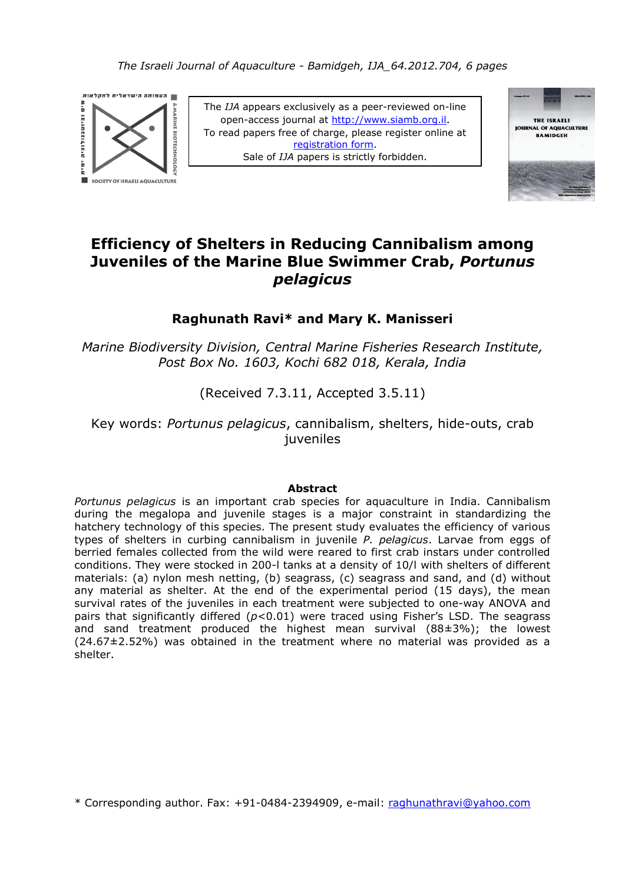

The *IJA* appears exclusively as a peer-reviewed on-line open-access journal at [http://www.siamb.org.il](http://www.siamb.org.il/). To read papers free of charge, please register online at [registration form.](https://ssl-atpay.com/atpay/ssl/site/order.asp?lan=en) Sale of *IJA* papers is strictly forbidden.



# **Efficiency of Shelters in Reducing Cannibalism among Juveniles of the Marine Blue Swimmer Crab,** *Portunus pelagicus*

## **Raghunath Ravi\* and Mary K. Manisseri**

*Marine Biodiversity Division, Central Marine Fisheries Research Institute, Post Box No. 1603, Kochi 682 018, Kerala, India*

(Received 7.3.11, Accepted 3.5.11)

Key words: *Portunus pelagicus*, cannibalism, shelters, hide-outs, crab juveniles

### **Abstract**

*Portunus pelagicus* is an important crab species for aquaculture in India. Cannibalism during the megalopa and juvenile stages is a major constraint in standardizing the hatchery technology of this species. The present study evaluates the efficiency of various types of shelters in curbing cannibalism in juvenile *P. pelagicus*. Larvae from eggs of berried females collected from the wild were reared to first crab instars under controlled conditions. They were stocked in 200-l tanks at a density of 10/l with shelters of different materials: (a) nylon mesh netting, (b) seagrass, (c) seagrass and sand, and (d) without any material as shelter. At the end of the experimental period (15 days), the mean survival rates of the juveniles in each treatment were subjected to one-way ANOVA and pairs that significantly differed ( $p$ <0.01) were traced using Fisher's LSD. The seagrass and sand treatment produced the highest mean survival  $(88\pm3\%)$ ; the lowest (24.67±2.52%) was obtained in the treatment where no material was provided as a shelter.

\* Corresponding author. Fax: +91-0484-2394909, e-mail: raghunathravi@yahoo.com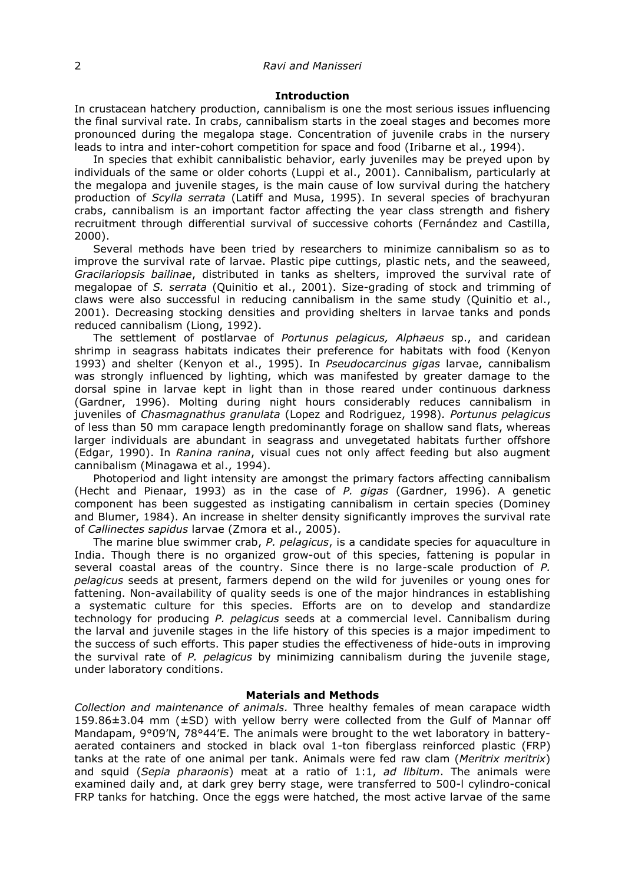#### 2 *Ravi and Manisseri*

#### **Introduction**

In crustacean hatchery production, cannibalism is one the most serious issues influencing the final survival rate. In crabs, cannibalism starts in the zoeal stages and becomes more pronounced during the megalopa stage. Concentration of juvenile crabs in the nursery leads to intra and inter-cohort competition for space and food (Iribarne et al., 1994).

In species that exhibit cannibalistic behavior, early juveniles may be preyed upon by individuals of the same or older cohorts (Luppi et al., 2001). Cannibalism, particularly at the megalopa and juvenile stages, is the main cause of low survival during the hatchery production of *Scylla serrata* (Latiff and Musa, 1995). In several species of brachyuran crabs, cannibalism is an important factor affecting the year class strength and fishery recruitment through differential survival of successive cohorts (Fernández and Castilla, 2000).

Several methods have been tried by researchers to minimize cannibalism so as to improve the survival rate of larvae. Plastic pipe cuttings, plastic nets, and the seaweed, *Gracilariopsis bailinae*, distributed in tanks as shelters, improved the survival rate of megalopae of *S. serrata* (Quinitio et al., 2001). Size-grading of stock and trimming of claws were also successful in reducing cannibalism in the same study (Quinitio et al., 2001). Decreasing stocking densities and providing shelters in larvae tanks and ponds reduced cannibalism (Liong, 1992).

The settlement of postlarvae of *Portunus pelagicus, Alphaeus* sp., and caridean shrimp in seagrass habitats indicates their preference for habitats with food (Kenyon 1993) and shelter (Kenyon et al., 1995). In *Pseudocarcinus gigas* larvae, cannibalism was strongly influenced by lighting, which was manifested by greater damage to the dorsal spine in larvae kept in light than in those reared under continuous darkness (Gardner, 1996). Molting during night hours considerably reduces cannibalism in juveniles of *Chasmagnathus granulata* (Lopez and Rodriguez, 1998)*. Portunus pelagicus*  of less than 50 mm carapace length predominantly forage on shallow sand flats, whereas larger individuals are abundant in seagrass and unvegetated habitats further offshore (Edgar, 1990). In *Ranina ranina*, visual cues not only affect feeding but also augment cannibalism (Minagawa et al., 1994).

Photoperiod and light intensity are amongst the primary factors affecting cannibalism (Hecht and Pienaar, 1993) as in the case of *P. gigas* (Gardner, 1996). A genetic component has been suggested as instigating cannibalism in certain species (Dominey and Blumer, 1984). An increase in shelter density significantly improves the survival rate of *Callinectes sapidus* larvae (Zmora et al., 2005).

The marine blue swimmer crab, *P. pelagicus*, is a candidate species for aquaculture in India. Though there is no organized grow-out of this species, fattening is popular in several coastal areas of the country. Since there is no large-scale production of *P. pelagicus* seeds at present, farmers depend on the wild for juveniles or young ones for fattening. Non-availability of quality seeds is one of the major hindrances in establishing a systematic culture for this species. Efforts are on to develop and standardize technology for producing *P. pelagicus* seeds at a commercial level. Cannibalism during the larval and juvenile stages in the life history of this species is a major impediment to the success of such efforts. This paper studies the effectiveness of hide-outs in improving the survival rate of *P. pelagicus* by minimizing cannibalism during the juvenile stage, under laboratory conditions.

#### **Materials and Methods**

*Collection and maintenance of animals.* Three healthy females of mean carapace width 159.86±3.04 mm (±SD) with yellow berry were collected from the Gulf of Mannar off Mandapam, 9°09'N, 78°44'E. The animals were brought to the wet laboratory in batteryaerated containers and stocked in black oval 1-ton fiberglass reinforced plastic (FRP) tanks at the rate of one animal per tank. Animals were fed raw clam (*Meritrix meritrix*) and squid (*Sepia pharaonis*) meat at a ratio of 1:1, *ad libitum*. The animals were examined daily and, at dark grey berry stage, were transferred to 500-l cylindro-conical FRP tanks for hatching. Once the eggs were hatched, the most active larvae of the same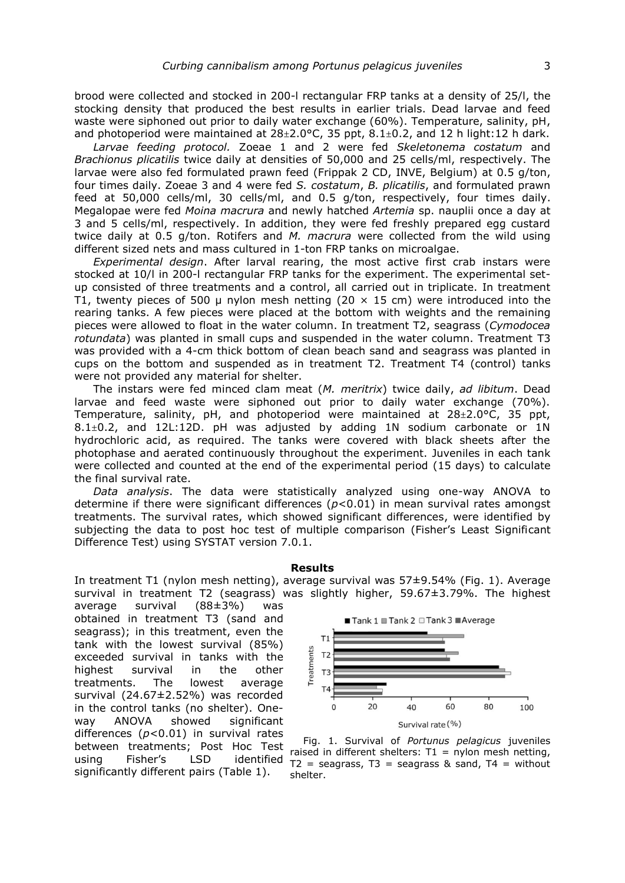brood were collected and stocked in 200-l rectangular FRP tanks at a density of 25/l, the stocking density that produced the best results in earlier trials. Dead larvae and feed waste were siphoned out prior to daily water exchange (60%). Temperature, salinity, pH, and photoperiod were maintained at  $28\pm2.0$ °C, 35 ppt,  $8.1\pm0.2$ , and 12 h light:12 h dark.

*Larvae feeding protocol.* Zoeae 1 and 2 were fed *Skeletonema costatum* and *Brachionus plicatilis* twice daily at densities of 50,000 and 25 cells/ml, respectively. The larvae were also fed formulated prawn feed (Frippak 2 CD, INVE, Belgium) at 0.5 g/ton, four times daily. Zoeae 3 and 4 were fed *S. costatum*, *B. plicatilis*, and formulated prawn feed at 50,000 cells/ml, 30 cells/ml, and 0.5 g/ton, respectively, four times daily. Megalopae were fed *Moina macrura* and newly hatched *Artemia* sp. nauplii once a day at 3 and 5 cells/ml, respectively. In addition, they were fed freshly prepared egg custard twice daily at 0.5 g/ton. Rotifers and *M. macrura* were collected from the wild using different sized nets and mass cultured in 1-ton FRP tanks on microalgae.

*Experimental design*. After larval rearing, the most active first crab instars were stocked at 10/l in 200-l rectangular FRP tanks for the experiment. The experimental setup consisted of three treatments and a control, all carried out in triplicate. In treatment T1, twenty pieces of 500 µ nylon mesh netting (20  $\times$  15 cm) were introduced into the rearing tanks. A few pieces were placed at the bottom with weights and the remaining pieces were allowed to float in the water column. In treatment T2, seagrass (*Cymodocea rotundata*) was planted in small cups and suspended in the water column. Treatment T3 was provided with a 4-cm thick bottom of clean beach sand and seagrass was planted in cups on the bottom and suspended as in treatment T2. Treatment T4 (control) tanks were not provided any material for shelter.

The instars were fed minced clam meat (*M. meritrix*) twice daily, *ad libitum*. Dead larvae and feed waste were siphoned out prior to daily water exchange (70%). Temperature, salinity, pH, and photoperiod were maintained at  $28 \pm 2.0^{\circ}$ C, 35 ppt, 8.1±0.2, and 12L:12D. pH was adjusted by adding 1N sodium carbonate or 1N hydrochloric acid, as required. The tanks were covered with black sheets after the photophase and aerated continuously throughout the experiment. Juveniles in each tank were collected and counted at the end of the experimental period (15 days) to calculate the final survival rate.

*Data analysis*. The data were statistically analyzed using one-way ANOVA to determine if there were significant differences (*p*<0.01) in mean survival rates amongst treatments. The survival rates, which showed significant differences, were identified by subjecting the data to post hoc test of multiple comparison (Fisher's Least Significant Difference Test) using SYSTAT version 7.0.1.

#### **Results**

In treatment T1 (nylon mesh netting), average survival was 57±9.54% (Fig. 1). Average survival in treatment T2 (seagrass) was slightly higher, 59.67±3.79%. The highest

average survival (88±3%) was obtained in treatment T3 (sand and seagrass); in this treatment, even the tank with the lowest survival (85%) exceeded survival in tanks with the highest survival in the other treatments. The lowest average survival (24.67±2.52%) was recorded in the control tanks (no shelter). Oneway ANOVA showed significant differences (*p*<0.01) in survival rates between treatments; Post Hoc Test using Fisher's LSD identified significantly different pairs (Table 1).



 Fig. 1. Survival of *Portunus pelagicus* juveniles raised in different shelters:  $T1 = nylon$  mesh netting,  $T2$  = seagrass,  $T3$  = seagrass & sand,  $T4$  = without shelter.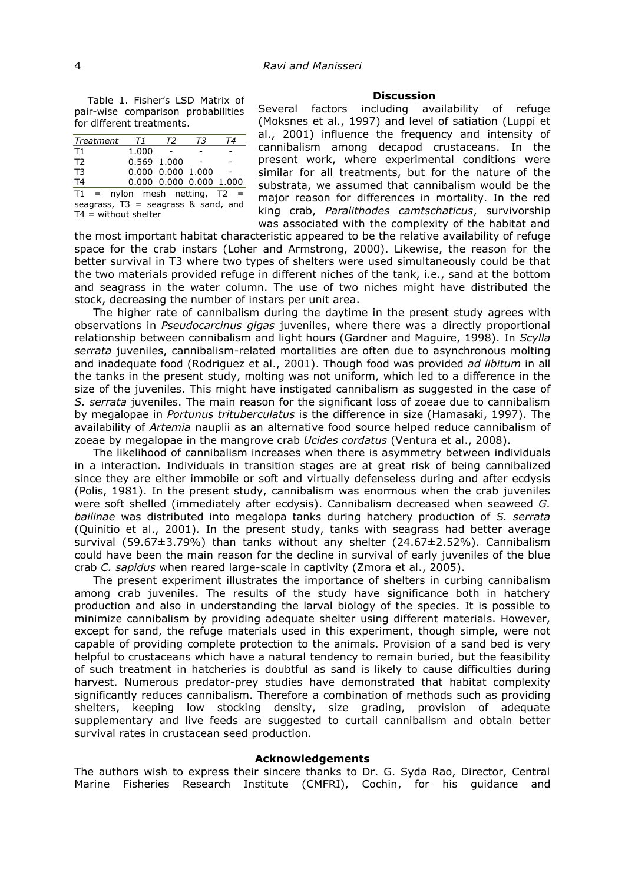Table 1. Fisher's LSD Matrix of pair-wise comparison probabilities for different treatments.

| Treatment                             | T1    | T2                      | Т3 | Τ4 |  |  |
|---------------------------------------|-------|-------------------------|----|----|--|--|
| T1                                    | 1.000 |                         |    |    |  |  |
| T <sub>2</sub>                        |       | 0.569 1.000             |    |    |  |  |
| T <sub>3</sub>                        |       | 0.000 0.000 1.000       |    |    |  |  |
| T4                                    |       | 0.000 0.000 0.000 1.000 |    |    |  |  |
| $T1 = nylon$ mesh netting, T2<br>$=$  |       |                         |    |    |  |  |
| seagrass, $T3$ = seagrass & sand, and |       |                         |    |    |  |  |
| $T4 =$ without shelter                |       |                         |    |    |  |  |

#### **Discussion**

Several factors including availability of refuge (Moksnes et al., 1997) and level of satiation (Luppi et al., 2001) influence the frequency and intensity of cannibalism among decapod crustaceans. In the present work, where experimental conditions were similar for all treatments, but for the nature of the substrata, we assumed that cannibalism would be the major reason for differences in mortality. In the red king crab, *Paralithodes camtschaticus*, survivorship was associated with the complexity of the habitat and

the most important habitat characteristic appeared to be the relative availability of refuge space for the crab instars (Loher and Armstrong, 2000). Likewise, the reason for the better survival in T3 where two types of shelters were used simultaneously could be that the two materials provided refuge in different niches of the tank, i.e., sand at the bottom and seagrass in the water column. The use of two niches might have distributed the stock, decreasing the number of instars per unit area.

The higher rate of cannibalism during the daytime in the present study agrees with observations in *Pseudocarcinus gigas* juveniles, where there was a directly proportional relationship between cannibalism and light hours (Gardner and Maguire, 1998)*.* In *Scylla serrata* juveniles, cannibalism-related mortalities are often due to asynchronous molting and inadequate food (Rodriguez et al., 2001). Though food was provided *ad libitum* in all the tanks in the present study, molting was not uniform, which led to a difference in the size of the juveniles. This might have instigated cannibalism as suggested in the case of *S. serrata* juveniles. The main reason for the significant loss of zoeae due to cannibalism by megalopae in *Portunus trituberculatus* is the difference in size (Hamasaki, 1997). The availability of *Artemia* nauplii as an alternative food source helped reduce cannibalism of zoeae by megalopae in the mangrove crab *Ucides cordatus* (Ventura et al., 2008).

The likelihood of cannibalism increases when there is asymmetry between individuals in a interaction. Individuals in transition stages are at great risk of being cannibalized since they are either immobile or soft and virtually defenseless during and after ecdysis (Polis, 1981). In the present study, cannibalism was enormous when the crab juveniles were soft shelled (immediately after ecdysis). Cannibalism decreased when seaweed *G. bailinae* was distributed into megalopa tanks during hatchery production of *S. serrata* (Quinitio et al., 2001)*.* In the present study, tanks with seagrass had better average survival (59.67±3.79%) than tanks without any shelter (24.67±2.52%). Cannibalism could have been the main reason for the decline in survival of early juveniles of the blue crab *C. sapidus* when reared large-scale in captivity (Zmora et al., 2005).

The present experiment illustrates the importance of shelters in curbing cannibalism among crab juveniles. The results of the study have significance both in hatchery production and also in understanding the larval biology of the species. It is possible to minimize cannibalism by providing adequate shelter using different materials. However, except for sand, the refuge materials used in this experiment, though simple, were not capable of providing complete protection to the animals. Provision of a sand bed is very helpful to crustaceans which have a natural tendency to remain buried, but the feasibility of such treatment in hatcheries is doubtful as sand is likely to cause difficulties during harvest. Numerous predator-prey studies have demonstrated that habitat complexity significantly reduces cannibalism. Therefore a combination of methods such as providing shelters, keeping low stocking density, size grading, provision of adequate supplementary and live feeds are suggested to curtail cannibalism and obtain better survival rates in crustacean seed production.

#### **Acknowledgements**

The authors wish to express their sincere thanks to Dr. G. Syda Rao, Director, Central Marine Fisheries Research Institute (CMFRI), Cochin, for his guidance and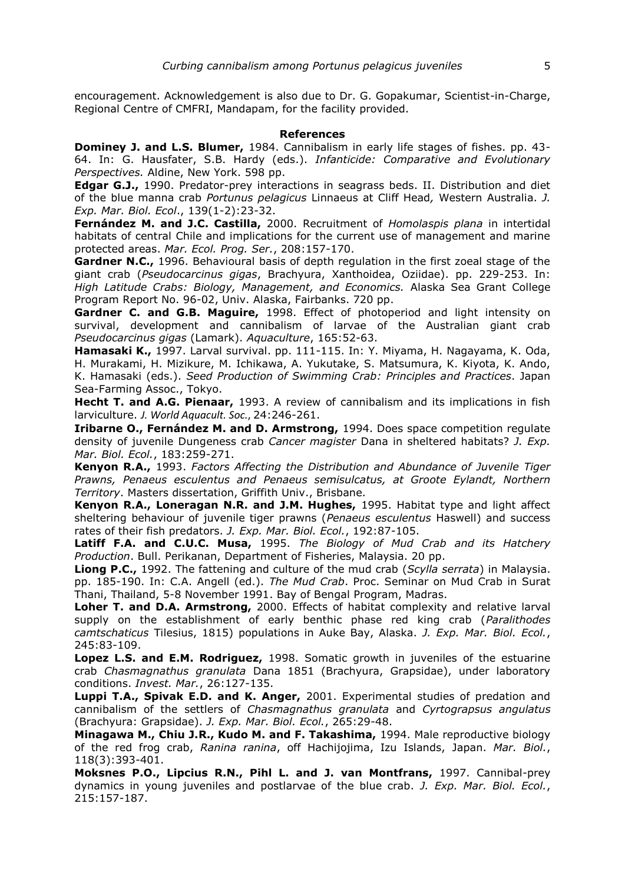encouragement. Acknowledgement is also due to Dr. G. Gopakumar, Scientist-in-Charge, Regional Centre of CMFRI, Mandapam, for the facility provided.

#### **References**

**Dominey J. and L.S. Blumer,** 1984. Cannibalism in early life stages of fishes. pp. 43- 64. In: G. Hausfater, S.B. Hardy (eds.). *Infanticide: Comparative and Evolutionary Perspectives.* Aldine, New York. 598 pp.

**Edgar G.J.,** 1990. Predator-prey interactions in seagrass beds. II. Distribution and diet of the blue manna crab *Portunus pelagicus* Linnaeus at Cliff Head*,* Western Australia. *J. Exp. Mar. Biol. Ecol*., 139(1-2):23-32.

**Fernández M. and J.C. Castilla,** 2000. Recruitment of *Homolaspis plana* in intertidal habitats of central Chile and implications for the current use of management and marine protected areas. *Mar. Ecol. Prog. Ser.*, 208:157-170.

**Gardner N.C.,** 1996. Behavioural basis of depth regulation in the first zoeal stage of the giant crab (*Pseudocarcinus gigas*, Brachyura, Xanthoidea, Oziidae). pp. 229-253. In: *High Latitude Crabs: Biology, Management, and Economics.* Alaska Sea Grant College Program Report No. 96-02, Univ. Alaska, Fairbanks. 720 pp.

**Gardner C. and G.B. Maguire,** 1998. Effect of photoperiod and light intensity on survival, development and cannibalism of larvae of the Australian giant crab *Pseudocarcinus gigas* (Lamark). *Aquaculture*, 165:52-63.

**Hamasaki K.,** 1997. Larval survival. pp. 111-115. In: Y. Miyama, H. Nagayama, K. Oda, H. Murakami, H. Mizikure, M. Ichikawa, A. Yukutake, S. Matsumura, K. Kiyota, K. Ando, K. Hamasaki (eds.). *Seed Production of Swimming Crab: Principles and Practices*. Japan Sea-Farming Assoc., Tokyo.

**Hecht T. and A.G. Pienaar,** 1993. A review of cannibalism and its implications in fish larviculture. *J. World Aquacult. Soc.*, 24:246-261.

**Iribarne O., Fernández M. and D. Armstrong,** 1994. Does space competition regulate density of juvenile Dungeness crab *Cancer magister* Dana in sheltered habitats? *J. Exp. Mar. Biol. Ecol.*, 183:259-271.

**Kenyon R.A.,** 1993. *Factors Affecting the Distribution and Abundance of Juvenile Tiger Prawns, Penaeus esculentus and Penaeus semisulcatus, at Groote Eylandt, Northern Territory*. Masters dissertation, Griffith Univ., Brisbane.

**Kenyon R.A., Loneragan N.R. and J.M. Hughes,** 1995. Habitat type and light affect sheltering behaviour of juvenile tiger prawns (*Penaeus esculentus* Haswell) and success rates of their fish predators. *J. Exp. Mar. Biol. Ecol.*, 192:87-105.

**Latiff F.A. and C.U.C. Musa,** 1995. *The Biology of Mud Crab and its Hatchery Production*. Bull. Perikanan, Department of Fisheries, Malaysia. 20 pp.

**Liong P.C.,** 1992. The fattening and culture of the mud crab (*Scylla serrata*) in Malaysia. pp. 185-190. In: C.A. Angell (ed.). *The Mud Crab*. Proc. Seminar on Mud Crab in Surat Thani, Thailand, 5-8 November 1991. Bay of Bengal Program, Madras.

**Loher T. and D.A. Armstrong,** 2000. Effects of habitat complexity and relative larval supply on the establishment of early benthic phase red king crab (*Paralithodes camtschaticus* Tilesius, 1815) populations in Auke Bay, Alaska. *J. Exp. Mar. Biol. Ecol.*, 245:83-109.

**Lopez L.S. and E.M. Rodriguez,** 1998. Somatic growth in juveniles of the estuarine crab *Chasmagnathus granulata* Dana 1851 (Brachyura, Grapsidae), under laboratory conditions. *Invest. Mar.*, 26:127-135.

**Luppi T.A., Spivak E.D. and K. Anger,** 2001. Experimental studies of predation and cannibalism of the settlers of *Chasmagnathus granulata* and *Cyrtograpsus angulatus*  (Brachyura: Grapsidae). *J. Exp. Mar. Biol. Ecol.*, 265:29-48.

**Minagawa M., Chiu J.R., Kudo M. and F. Takashima,** 1994. Male reproductive biology of the red frog crab, *Ranina ranina*, off Hachijojima, Izu Islands, Japan. *Mar. Biol.*, 118(3):393-401.

**Moksnes P.O., Lipcius R.N., Pihl L. and J. van Montfrans,** 1997. Cannibal-prey dynamics in young juveniles and postlarvae of the blue crab. *J. Exp. Mar. Biol. Ecol.*, 215:157-187.